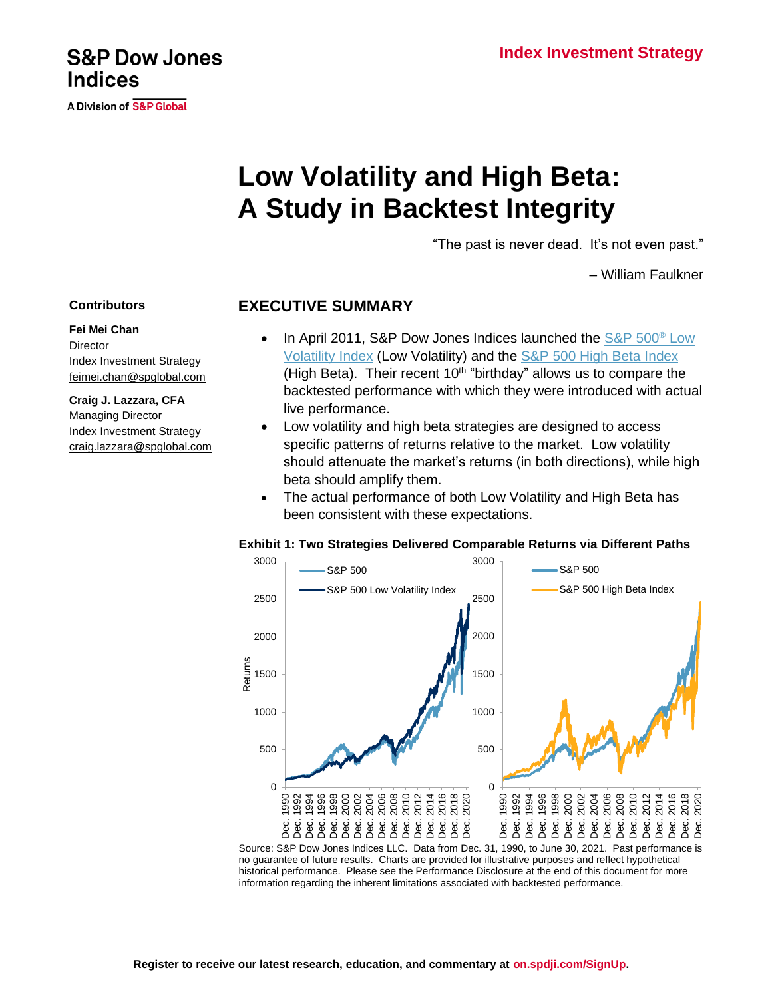### **Index Investment Strategy**

# **Low Volatility and High Beta: A Study in Backtest Integrity**

"The past is never dead. It's not even past."

– William Faulkner

#### **EXECUTIVE SUMMARY**

- In April 2011, S&P Dow Jones Indices launched the [S&P 500](https://spglobal.com/spdji/en/indices/strategy/sp-500-low-volatility-index?utm_source=pdf_research)<sup>®</sup> Low Volatility Index (Low Volatility) and the [S&P 500 High Beta Index](https://spglobal.com/spdji/en/indices/strategy/sp-500-high-beta-index?utm_source=pdf_research) (High Beta). Their recent  $10<sup>th</sup>$  "birthday" allows us to compare the backtested performance with which they were introduced with actual live performance.
- Low volatility and high beta strategies are designed to access specific patterns of returns relative to the market. Low volatility should attenuate the market's returns (in both directions), while high beta should amplify them.
- The actual performance of both Low Volatility and High Beta has been consistent with these expectations.



**Exhibit 1: Two Strategies Delivered Comparable Returns via Different Paths**

Source: S&P Dow Jones Indices LLC. Data from Dec. 31, 1990, to June 30, 2021. Past performance is no guarantee of future results. Charts are provided for illustrative purposes and reflect hypothetical historical performance. Please see the Performance Disclosure at the end of this document for more information regarding the inherent limitations associated with backtested performance.

#### **Contributors**

**Fei Mei Chan Director** [Index Investment Strategy](https://spglobal.com/spdji/en/indices/strategy/sp-500-low-volatility-index?utm_source=pdf_research) [feimei.chan@spglobal.com](mailto:feimei.chan@spglobal.com)

**Craig J. Lazzara, CFA** Managing Director Index Investment Strategy [craig.lazzara@spglobal.com](mailto:craig.lazzara@spglobal.com)

## **S&P Dow Jones Indices**

A Division of S&P Global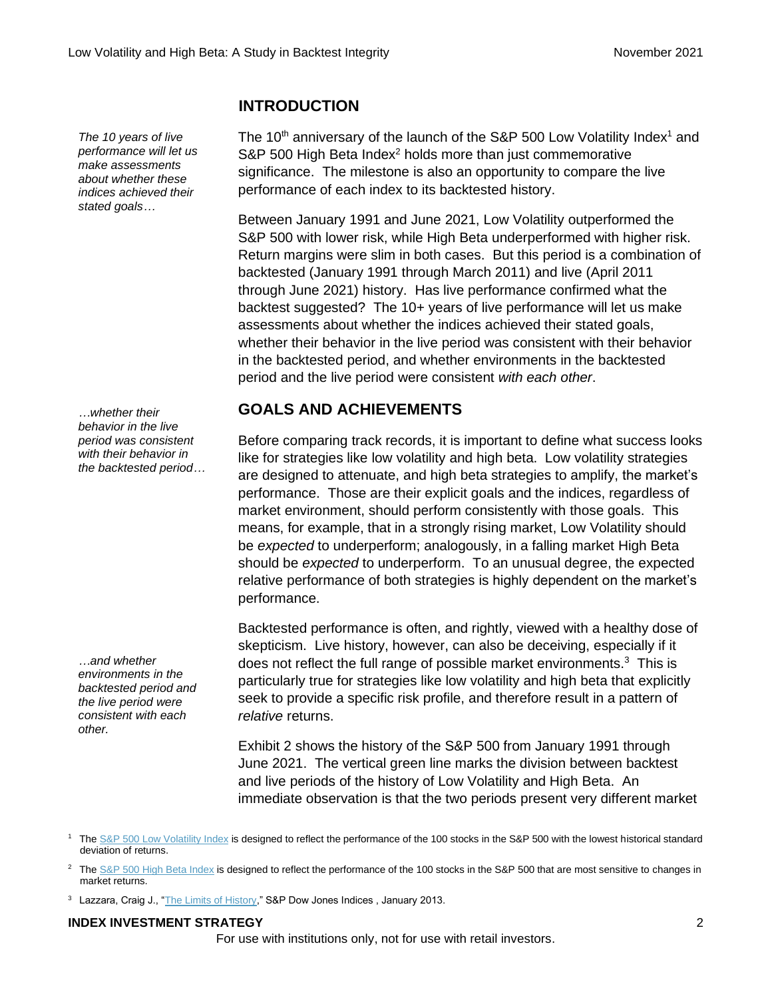*The 10 years of live performance will let us make assessments about whether these indices achieved their stated goals…*

*…whether their behavior in the live period was consistent with their behavior in the backtested period…*

*…and whether environments in the backtested period and the live period were consistent with each other.*

## **INTRODUCTION**

The 10<sup>th</sup> anniversary of the launch of the S&P 500 Low Volatility Index<sup>1</sup> and S&P 500 High Beta Index $2$  holds more than just commemorative significance. The milestone is also an opportunity to compare the live performance of each index to its backtested history.

Between January 1991 and June 2021, Low Volatility outperformed the S&P 500 with lower risk, while High Beta underperformed with higher risk. Return margins were slim in both cases. But this period is a combination of backtested (January 1991 through March 2011) and live (April 2011 through June 2021) history. Has live performance confirmed what the backtest suggested? The 10+ years of live performance will let us make assessments about whether the indices achieved their stated goals, whether their behavior in the live period was consistent with their behavior in the backtested period, and whether environments in the backtested period and the live period were consistent *with each other*.

## **GOALS AND ACHIEVEMENTS**

Before comparing track records, it is important to define what success looks like for strategies like low volatility and high beta. Low volatility strategies are designed to attenuate, and high beta strategies to amplify, the market's performance. Those are their explicit goals and the indices, regardless of market environment, should perform consistently with those goals. This means, for example, that in a strongly rising market, Low Volatility should be *expected* to underperform; analogously, in a falling market High Beta should be *expected* to underperform. To an unusual degree, the expected relative performance of both strategies is highly dependent on the market's performance.

Backtested performance is often, and rightly, viewed with a healthy dose of skepticism. Live history, however, can also be deceiving, especially if it does not reflect the full range of possible market environments.<sup>3</sup> This is particularly true for strategies like low volatility and high beta that explicitly seek to provide a specific risk profile, and therefore result in a pattern of *relative* returns.

Exhibit 2 shows the history of the S&P 500 from January 1991 through June 2021. The vertical green line marks the division between backtest and live periods of the history of Low Volatility and High Beta. An immediate observation is that the two periods present very different market

#### **INDEX INVESTMENT STRATEGY** 2

<sup>&</sup>lt;sup>1</sup> The [S&P 500 Low Volatility Index](https://www.spglobal.com/spdji/en/documents/methodologies/methodology-sp-low-volatility-indices.pdf?utm_source=pdf_research) is designed to reflect the performance of the 100 stocks in the S&P 500 with the lowest historical standard deviation of returns.

<sup>&</sup>lt;sup>2</sup> The [S&P 500 High Beta Index](https://www.spglobal.com/spdji/en/documents/methodologies/methodology-sp-high-beta-indices.pdf?utm_source=pdf_research) is designed to reflect the performance of the 100 stocks in the S&P 500 that are most sensitive to changes in market returns.

<sup>&</sup>lt;sup>3</sup> Lazzara, Craig J., ["The Limits of History,"](https://www.spglobal.com/spdji/en/documents/research/research-the-limits-of-history.pdf?utm_source=pdf_research) S&P Dow Jones Indices, January 2013.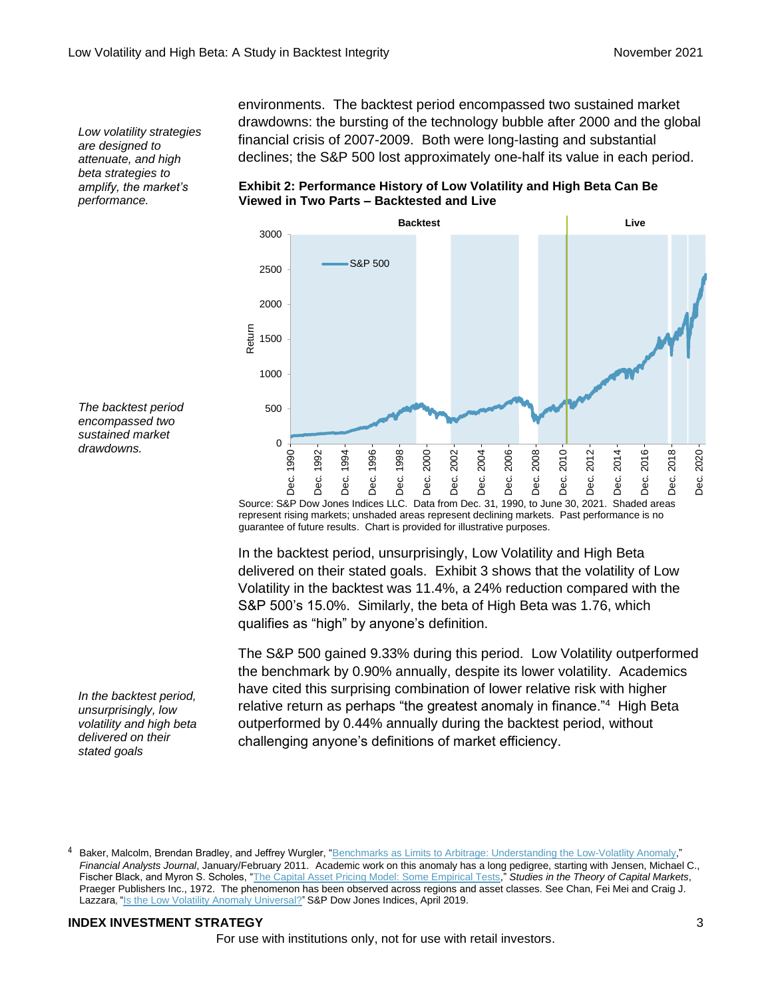*Low volatility strategies are designed to attenuate, and high beta strategies to amplify, the market's performance.*

environments. The backtest period encompassed two sustained market drawdowns: the bursting of the technology bubble after 2000 and the global financial crisis of 2007-2009. Both were long-lasting and substantial declines; the S&P 500 lost approximately one-half its value in each period.

**Exhibit 2: Performance History of Low Volatility and High Beta Can Be Viewed in Two Parts – Backtested and Live**



Source: S&P Dow Jones Indices LLC. Data from Dec. 31, 1990, to June 30, 2021. Shaded areas represent rising markets; unshaded areas represent declining markets. Past performance is no guarantee of future results. Chart is provided for illustrative purposes.

In the backtest period, unsurprisingly, Low Volatility and High Beta delivered on their stated goals. Exhibit 3 shows that the volatility of Low Volatility in the backtest was 11.4%, a 24% reduction compared with the S&P 500's 15.0%. Similarly, the beta of High Beta was 1.76, which qualifies as "high" by anyone's definition.

The S&P 500 gained 9.33% during this period. Low Volatility outperformed the benchmark by 0.90% annually, despite its lower volatility. Academics have cited this surprising combination of lower relative risk with higher relative return as perhaps "the greatest anomaly in finance."<sup>4</sup> High Beta outperformed by 0.44% annually during the backtest period, without challenging anyone's definitions of market efficiency.

*The backtest period encompassed two sustained market drawdowns.*

*In the backtest period, unsurprisingly, low volatility and high beta delivered on their stated goals*

#### **INDEX INVESTMENT STRATEGY** 3

Baker, Malcolm, Brendan Bradley, and Jeffrey Wurgler, ["Benchmarks as Limits to Arbitrage: Understanding the Low-Volatlity Anomaly,](https://www.cfainstitute.org/en/research/financial-analysts-journal/2011/benchmarks-as-limits-to-arbitrage-understanding-the-low-volatility-anomaly)" *Financial Analysts Journal*, January/February 2011. Academic work on this anomaly has a long pedigree, starting with Jensen, Michael C., Fischer Black, and Myron S. Scholes, ["The Capital Asset Pricing Model: Some Empirical Tests,](https://papers.ssrn.com/sol3/Delivery.cfm/SSRN_ID908569_code9.pdf?abstractid=908569&mirid=1)" *Studies in the Theory of Capital Markets*, Praeger Publishers Inc., 1972. The phenomenon has been observed across regions and asset classes. See Chan, Fei Mei and Craig J. Lazzara, ["Is the Low Volatility Anomaly Universal?](https://www.spglobal.com/spdji/en/research/article/is-the-low-volatility-anomaly-universal/?utm_source=pdf_research)" S&P Dow Jones Indices, April 2019.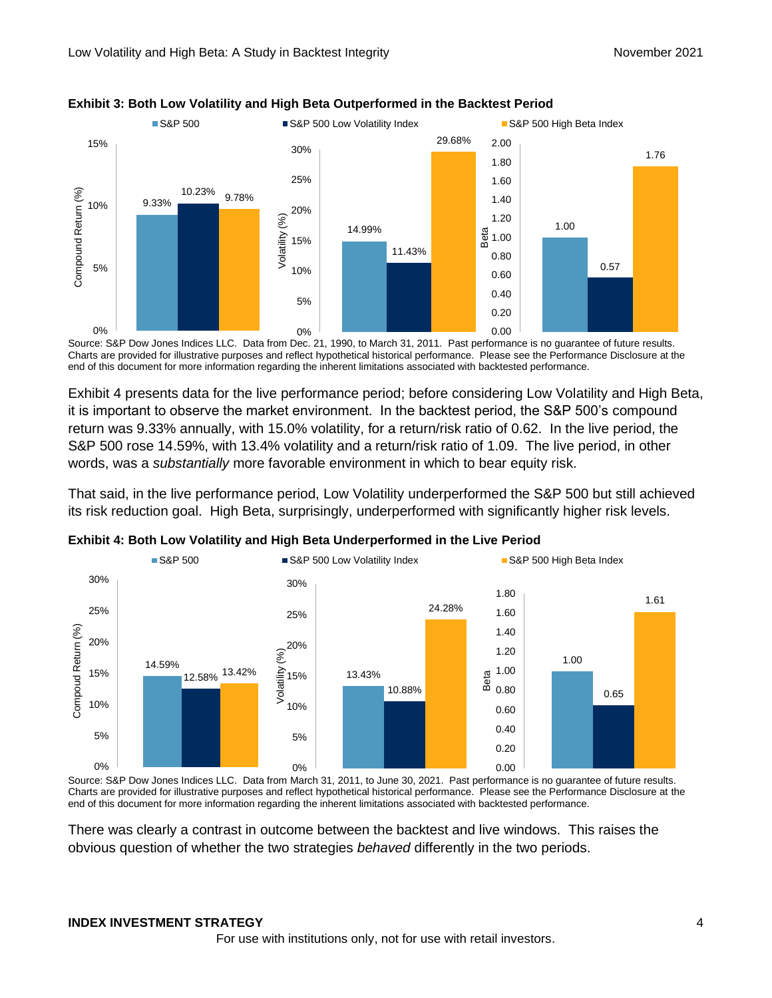

#### **Exhibit 3: Both Low Volatility and High Beta Outperformed in the Backtest Period**

Source: S&P Dow Jones Indices LLC. Data from Dec. 21, 1990, to March 31, 2011. Past performance is no guarantee of future results. Charts are provided for illustrative purposes and reflect hypothetical historical performance. Please see the Performance Disclosure at the end of this document for more information regarding the inherent limitations associated with backtested performance.

Exhibit 4 presents data for the live performance period; before considering Low Volatility and High Beta, it is important to observe the market environment. In the backtest period, the S&P 500's compound return was 9.33% annually, with 15.0% volatility, for a return/risk ratio of 0.62. In the live period, the S&P 500 rose 14.59%, with 13.4% volatility and a return/risk ratio of 1.09. The live period, in other words, was a *substantially* more favorable environment in which to bear equity risk.

That said, in the live performance period, Low Volatility underperformed the S&P 500 but still achieved its risk reduction goal. High Beta, surprisingly, underperformed with significantly higher risk levels.



**Exhibit 4: Both Low Volatility and High Beta Underperformed in the Live Period**

Source: S&P Dow Jones Indices LLC. Data from March 31, 2011, to June 30, 2021. Past performance is no guarantee of future results. Charts are provided for illustrative purposes and reflect hypothetical historical performance. Please see the Performance Disclosure at the end of this document for more information regarding the inherent limitations associated with backtested performance.

There was clearly a contrast in outcome between the backtest and live windows. This raises the obvious question of whether the two strategies *behaved* differently in the two periods.

#### **INDEX INVESTMENT STRATEGY** 4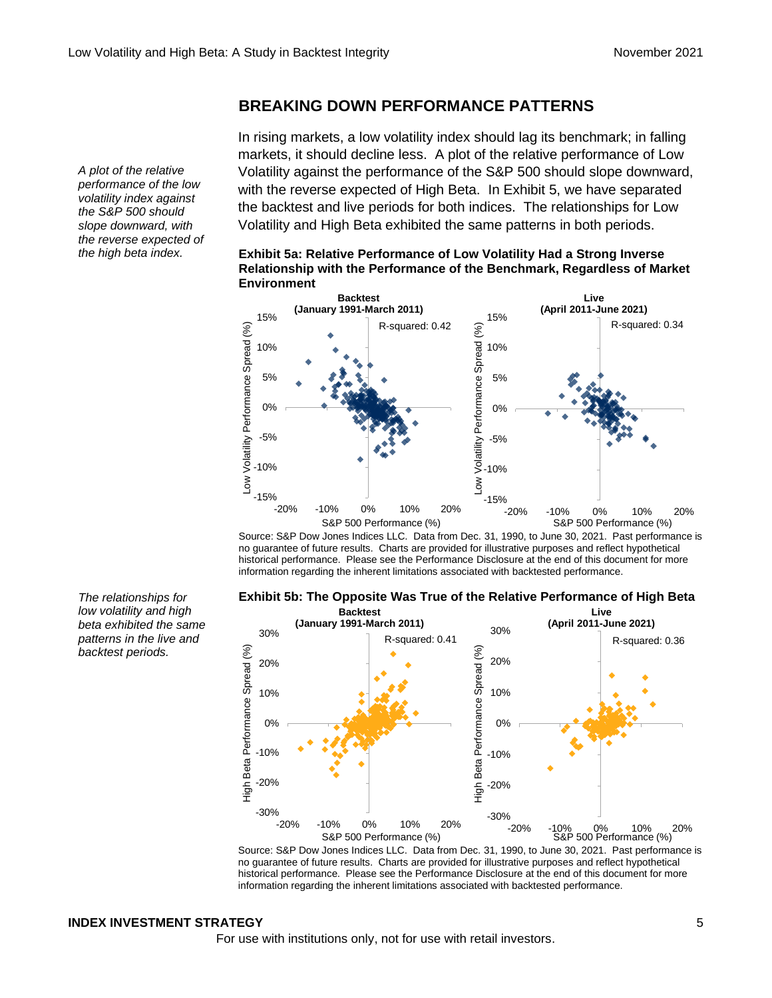#### **BREAKING DOWN PERFORMANCE PATTERNS**

In rising markets, a low volatility index should lag its benchmark; in falling markets, it should decline less. A plot of the relative performance of Low Volatility against the performance of the S&P 500 should slope downward, with the reverse expected of High Beta. In Exhibit 5, we have separated the backtest and live periods for both indices. The relationships for Low Volatility and High Beta exhibited the same patterns in both periods.





Source: S&P Dow Jones Indices LLC. Data from Dec. 31, 1990, to June 30, 2021. Past performance is no guarantee of future results. Charts are provided for illustrative purposes and reflect hypothetical historical performance. Please see the Performance Disclosure at the end of this document for more information regarding the inherent limitations associated with backtested performance.



Source: S&P Dow Jones Indices LLC. Data from Dec. 31, 1990, to June 30, 2021. Past performance is no guarantee of future results. Charts are provided for illustrative purposes and reflect hypothetical historical performance. Please see the Performance Disclosure at the end of this document for more information regarding the inherent limitations associated with backtested performance.

#### **INDEX INVESTMENT STRATEGY** 5

For use with institutions only, not for use with retail investors.

*A plot of the relative performance of the low volatility index against the S&P 500 should slope downward, with the reverse expected of the high beta index.*

*The relationships for low volatility and high beta exhibited the same patterns in the live and backtest periods.*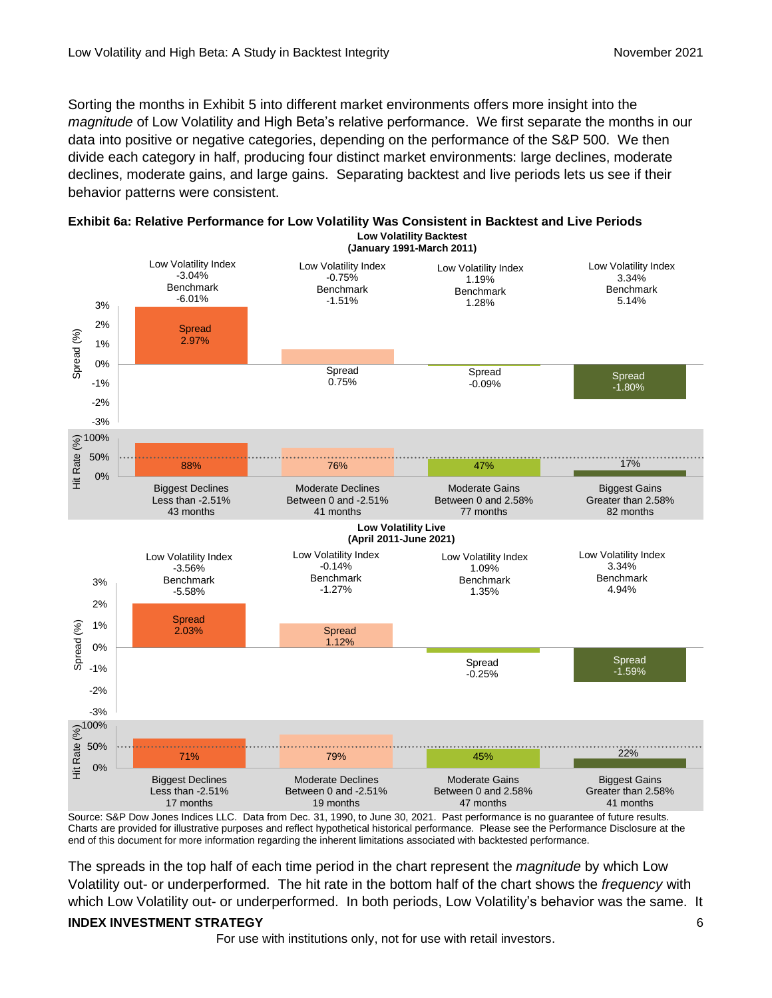Sorting the months in Exhibit 5 into different market environments offers more insight into the *magnitude* of Low Volatility and High Beta's relative performance. We first separate the months in our data into positive or negative categories, depending on the performance of the S&P 500. We then divide each category in half, producing four distinct market environments: large declines, moderate declines, moderate gains, and large gains. Separating backtest and live periods lets us see if their behavior patterns were consistent.



**Exhibit 6a: Relative Performance for Low Volatility Was Consistent in Backtest and Live Periods Low Volatility Backtest**

Source: S&P Dow Jones Indices LLC. Data from Dec. 31, 1990, to June 30, 2021. Past performance is no guarantee of future results. Charts are provided for illustrative purposes and reflect hypothetical historical performance. Please see the Performance Disclosure at the end of this document for more information regarding the inherent limitations associated with backtested performance.

The spreads in the top half of each time period in the chart represent the *magnitude* by which Low Volatility out- or underperformed. The hit rate in the bottom half of the chart shows the *frequency* with which Low Volatility out- or underperformed. In both periods, Low Volatility's behavior was the same. It

#### **INDEX INVESTMENT STRATEGY** 6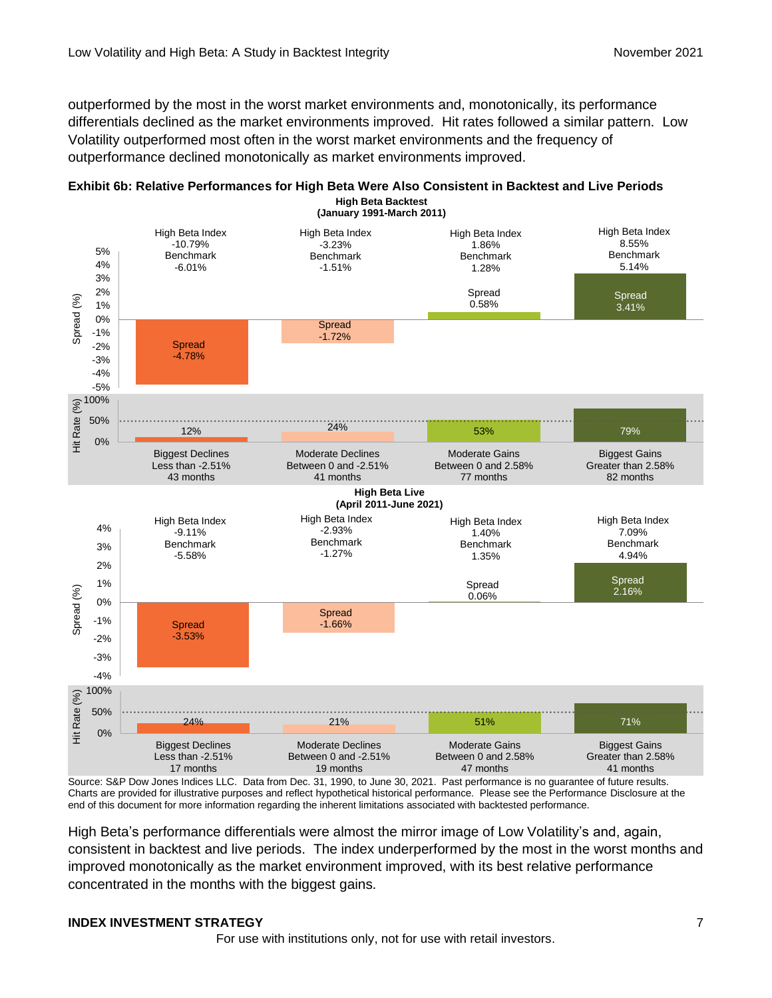outperformed by the most in the worst market environments and, monotonically, its performance differentials declined as the market environments improved. Hit rates followed a similar pattern. Low Volatility outperformed most often in the worst market environments and the frequency of outperformance declined monotonically as market environments improved.





Source: S&P Dow Jones Indices LLC. Data from Dec. 31, 1990, to June 30, 2021. Past performance is no guarantee of future results. Charts are provided for illustrative purposes and reflect hypothetical historical performance. Please see the Performance Disclosure at the end of this document for more information regarding the inherent limitations associated with backtested performance.

High Beta's performance differentials were almost the mirror image of Low Volatility's and, again, consistent in backtest and live periods. The index underperformed by the most in the worst months and improved monotonically as the market environment improved, with its best relative performance concentrated in the months with the biggest gains.

#### **INDEX INVESTMENT STRATEGY** 7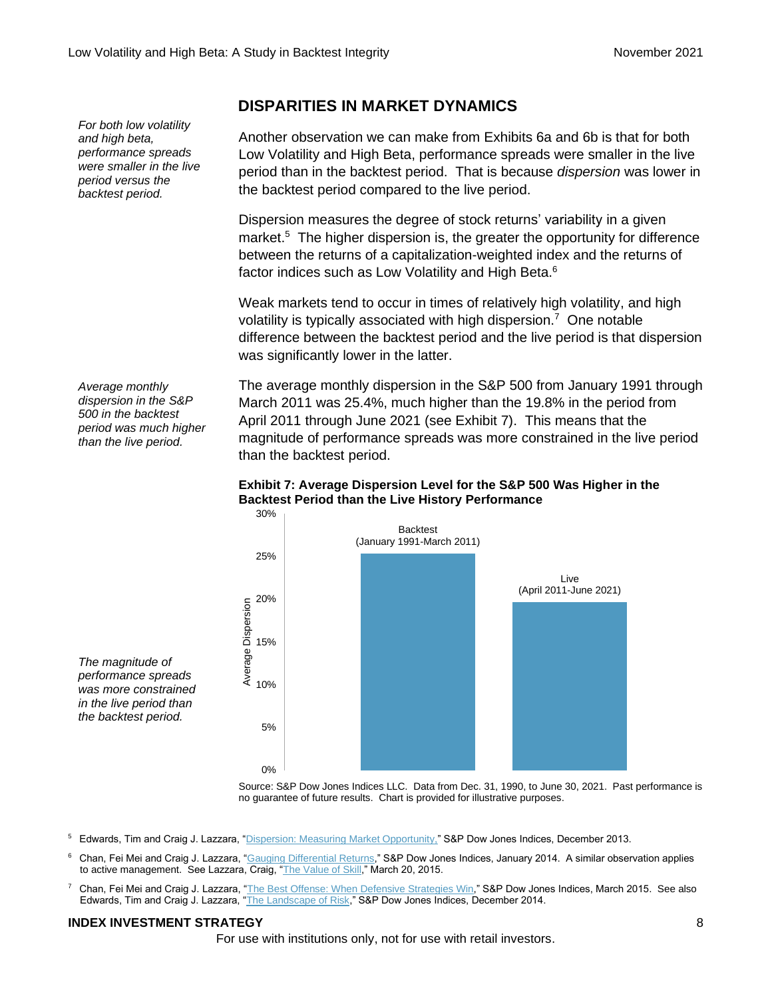*backtest period.*

*Average monthly dispersion in the S&P 500 in the backtest period was much higher than the live period.*

*The magnitude of performance spreads was more constrained in the live period than the backtest period.*

## than the backtest period. **Exhibit 7: Average Dispersion Level for the S&P 500 Was Higher in the Backtest Period than the Live History Performance**

**DISPARITIES IN MARKET DYNAMICS**

the backtest period compared to the live period.

factor indices such as Low Volatility and High Beta.<sup>6</sup>

was significantly lower in the latter.

Another observation we can make from Exhibits 6a and 6b is that for both Low Volatility and High Beta, performance spreads were smaller in the live period than in the backtest period. That is because *dispersion* was lower in

Dispersion measures the degree of stock returns' variability in a given

market.<sup>5</sup> The higher dispersion is, the greater the opportunity for difference between the returns of a capitalization-weighted index and the returns of

Weak markets tend to occur in times of relatively high volatility, and high

difference between the backtest period and the live period is that dispersion

The average monthly dispersion in the S&P 500 from January 1991 through March 2011 was 25.4%, much higher than the 19.8% in the period from April 2011 through June 2021 (see Exhibit 7). This means that the

magnitude of performance spreads was more constrained in the live period

volatility is typically associated with high dispersion.<sup>7</sup> One notable



Source: S&P Dow Jones Indices LLC. Data from Dec. 31, 1990, to June 30, 2021. Past performance is no guarantee of future results. Chart is provided for illustrative purposes.

- <sup>5</sup> Edwards, Tim and Craig J. Lazzara, ["Dispersion: Measuring Market Opportunity,"](https://www.spglobal.com/spdji/en/documents/research/research-dispersion-measuring-market-opportunity.pdf?utm_source=pdf_research) S&P Dow Jones Indices, December 2013.
- <sup>6</sup> Chan, Fei Mei and Craig J. Lazzara, ["Gauging Differential Returns,](https://www.spglobal.com/spdji/en/documents/research/research-gauging-differential-returns.pdf?utm_source=pdf_research)" S&P Dow Jones Indices, January 2014. A similar observation applies to active management. See Lazzara, Craig, ["The Value of Skill,](http://www.indexologyblog.com/2015/03/20/the-value-of-skill/?utm_source=pdf_research)" March 20, 2015.
- <sup>7</sup> Chan, Fei Mei and Craig J. Lazzara, ["The Best Offense: When Defensive Strategies Win,](https://www.spglobal.com/spdji/en/documents/research/research-the-best-offense-when-defensive-strategies-win.pdf?utm_source=pdf_research)" S&P Dow Jones Indices, March 2015. See also Edwards, Tim and Craig J. Lazzara, ["The Landscape of Risk,](https://www.spglobal.com/spdji/en/documents/research/research-the-landscape-of-risk.pdf?utm_source=pdf_research)" S&P Dow Jones Indices, December 2014.

#### **INDEX INVESTMENT STRATEGY** 8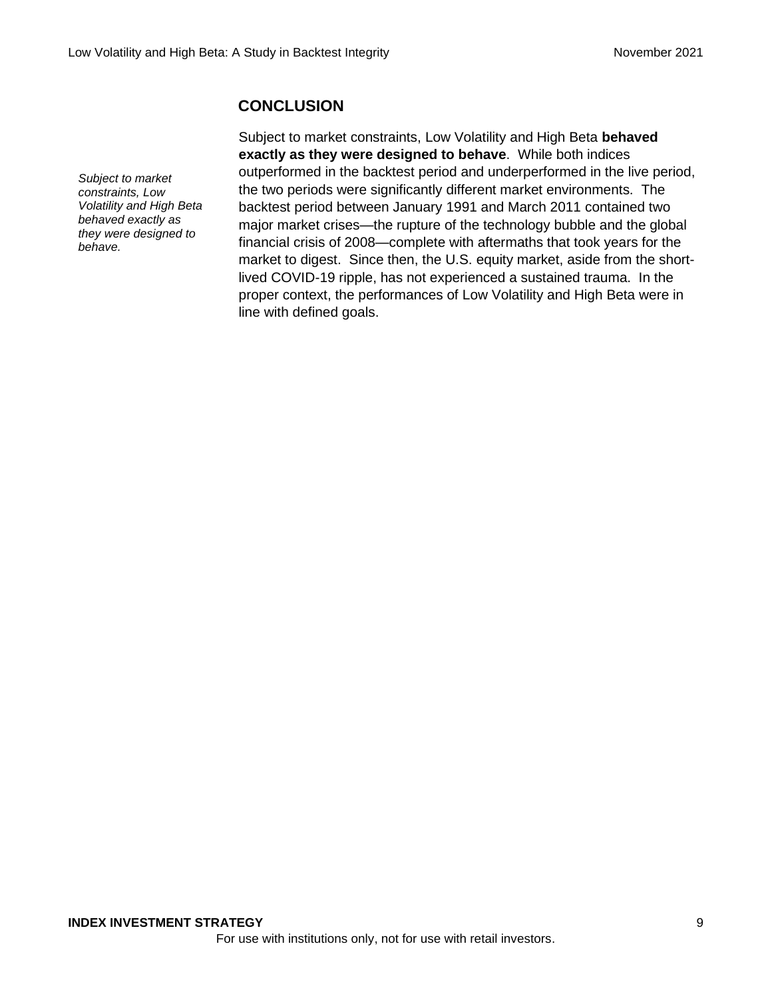## **CONCLUSION**

*Subject to market constraints, Low Volatility and High Beta behaved exactly as they were designed to behave.*

Subject to market constraints, Low Volatility and High Beta **behaved exactly as they were designed to behave**. While both indices outperformed in the backtest period and underperformed in the live period, the two periods were significantly different market environments. The backtest period between January 1991 and March 2011 contained two major market crises—the rupture of the technology bubble and the global financial crisis of 2008—complete with aftermaths that took years for the market to digest. Since then, the U.S. equity market, aside from the shortlived COVID-19 ripple, has not experienced a sustained trauma. In the proper context, the performances of Low Volatility and High Beta were in line with defined goals.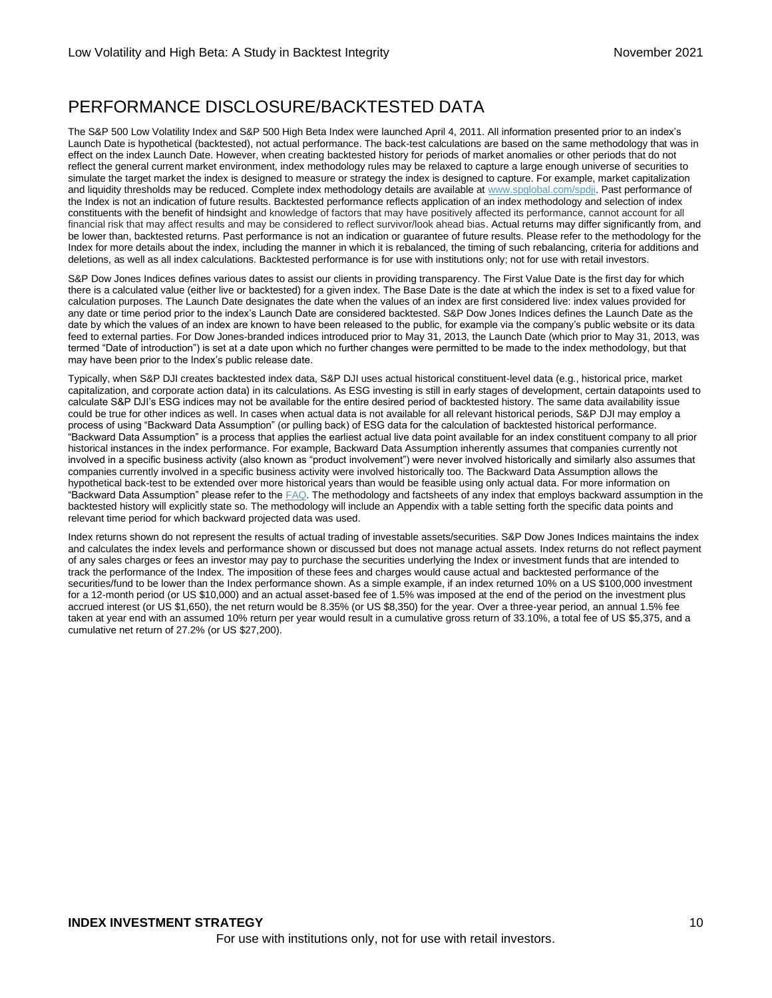## PERFORMANCE DISCLOSURE/BACKTESTED DATA

The S&P 500 Low Volatility Index and S&P 500 High Beta Index were launched April 4, 2011. All information presented prior to an index's Launch Date is hypothetical (backtested), not actual performance. The back-test calculations are based on the same methodology that was in effect on the index Launch Date. However, when creating backtested history for periods of market anomalies or other periods that do not reflect the general current market environment, index methodology rules may be relaxed to capture a large enough universe of securities to simulate the target market the index is designed to measure or strategy the index is designed to capture. For example, market capitalization and liquidity thresholds may be reduced. Complete index methodology details are available at [www.spglobal.com/spdji.](http://www.spglobal.com/spdji/en?utm_source=pdf_research) Past performance of the Index is not an indication of future results. Backtested performance reflects application of an index methodology and selection of index constituents with the benefit of hindsight and knowledge of factors that may have positively affected its performance, cannot account for all financial risk that may affect results and may be considered to reflect survivor/look ahead bias. Actual returns may differ significantly from, and be lower than, backtested returns. Past performance is not an indication or guarantee of future results. Please refer to the methodology for the Index for more details about the index, including the manner in which it is rebalanced, the timing of such rebalancing, criteria for additions and deletions, as well as all index calculations. Backtested performance is for use with institutions only; not for use with retail investors.

S&P Dow Jones Indices defines various dates to assist our clients in providing transparency. The First Value Date is the first day for which there is a calculated value (either live or backtested) for a given index. The Base Date is the date at which the index is set to a fixed value for calculation purposes. The Launch Date designates the date when the values of an index are first considered live: index values provided for any date or time period prior to the index's Launch Date are considered backtested. S&P Dow Jones Indices defines the Launch Date as the date by which the values of an index are known to have been released to the public, for example via the company's public website or its data feed to external parties. For Dow Jones-branded indices introduced prior to May 31, 2013, the Launch Date (which prior to May 31, 2013, was termed "Date of introduction") is set at a date upon which no further changes were permitted to be made to the index methodology, but that may have been prior to the Index's public release date.

Typically, when S&P DJI creates backtested index data, S&P DJI uses actual historical constituent-level data (e.g., historical price, market capitalization, and corporate action data) in its calculations. As ESG investing is still in early stages of development, certain datapoints used to calculate S&P DJI's ESG indices may not be available for the entire desired period of backtested history. The same data availability issue could be true for other indices as well. In cases when actual data is not available for all relevant historical periods, S&P DJI may employ a process of using "Backward Data Assumption" (or pulling back) of ESG data for the calculation of backtested historical performance. "Backward Data Assumption" is a process that applies the earliest actual live data point available for an index constituent company to all prior historical instances in the index performance. For example, Backward Data Assumption inherently assumes that companies currently not involved in a specific business activity (also known as "product involvement") were never involved historically and similarly also assumes that companies currently involved in a specific business activity were involved historically too. The Backward Data Assumption allows the hypothetical back-test to be extended over more historical years than would be feasible using only actual data. For more information on "Backward Data Assumption" please refer to the  $FAQ$ . The methodology and factsheets of any index that employs backward assumption in the backtested history will explicitly state so. The methodology will include an Appendix with a table setting forth the specific data points and relevant time period for which backward projected data was used.

Index returns shown do not represent the results of actual trading of investable assets/securities. S&P Dow Jones Indices maintains the index and calculates the index levels and performance shown or discussed but does not manage actual assets. Index returns do not reflect payment of any sales charges or fees an investor may pay to purchase the securities underlying the Index or investment funds that are intended to track the performance of the Index. The imposition of these fees and charges would cause actual and backtested performance of the securities/fund to be lower than the Index performance shown. As a simple example, if an index returned 10% on a US \$100,000 investment for a 12-month period (or US \$10,000) and an actual asset-based fee of 1.5% was imposed at the end of the period on the investment plus accrued interest (or US \$1,650), the net return would be 8.35% (or US \$8,350) for the year. Over a three-year period, an annual 1.5% fee taken at year end with an assumed 10% return per year would result in a cumulative gross return of 33.10%, a total fee of US \$5,375, and a cumulative net return of 27.2% (or US \$27,200).